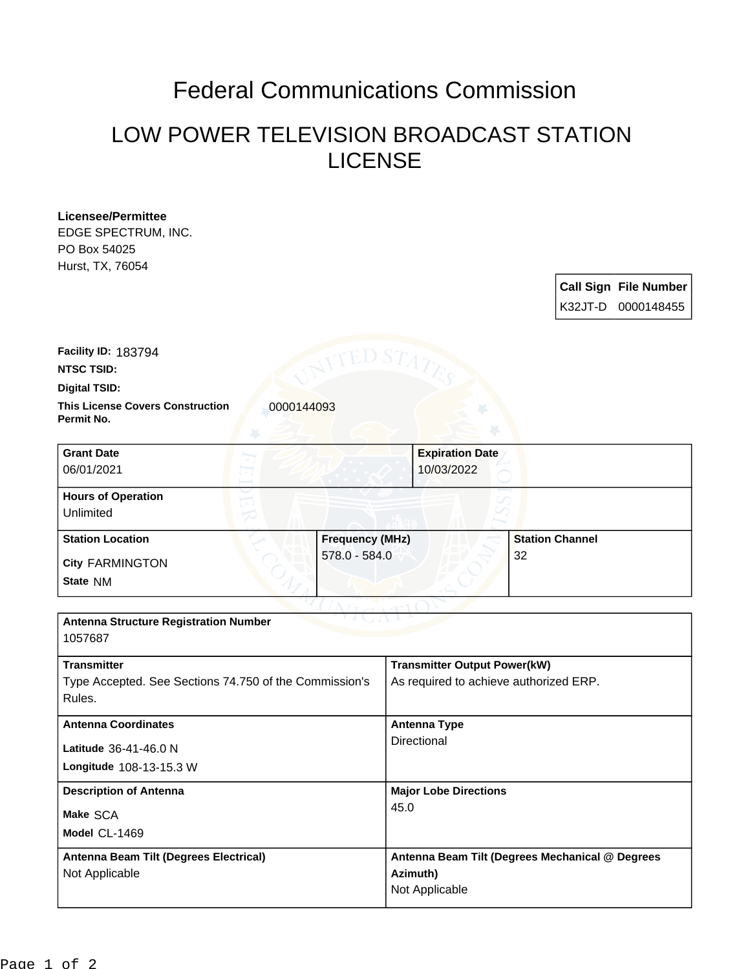## Federal Communications Commission

## LOW POWER TELEVISION BROADCAST STATION LICENSE

| <b>Licensee/Permittee</b>                                           |                        |                                                 |                        |  |                              |  |
|---------------------------------------------------------------------|------------------------|-------------------------------------------------|------------------------|--|------------------------------|--|
| EDGE SPECTRUM, INC.                                                 |                        |                                                 |                        |  |                              |  |
| PO Box 54025                                                        |                        |                                                 |                        |  |                              |  |
| Hurst, TX, 76054                                                    |                        |                                                 |                        |  |                              |  |
|                                                                     |                        |                                                 |                        |  | <b>Call Sign File Number</b> |  |
|                                                                     |                        |                                                 |                        |  | K32JT-D 0000148455           |  |
|                                                                     |                        |                                                 |                        |  |                              |  |
|                                                                     |                        |                                                 |                        |  |                              |  |
| Facility ID: 183794                                                 |                        |                                                 |                        |  |                              |  |
| <b>NTSC TSID:</b>                                                   |                        |                                                 |                        |  |                              |  |
| Digital TSID:                                                       |                        |                                                 |                        |  |                              |  |
| <b>This License Covers Construction</b><br>0000144093<br>Permit No. |                        |                                                 |                        |  |                              |  |
|                                                                     |                        |                                                 |                        |  |                              |  |
| <b>Grant Date</b>                                                   |                        | <b>Expiration Date</b>                          |                        |  |                              |  |
| 06/01/2021                                                          |                        | 10/03/2022                                      |                        |  |                              |  |
| <b>Hours of Operation</b>                                           |                        |                                                 |                        |  |                              |  |
| Unlimited                                                           |                        |                                                 |                        |  |                              |  |
| <b>Station Location</b>                                             | <b>Frequency (MHz)</b> |                                                 | <b>Station Channel</b> |  |                              |  |
| <b>City FARMINGTON</b>                                              | 578.0 - 584.0          |                                                 | 32                     |  |                              |  |
| State NM                                                            |                        |                                                 |                        |  |                              |  |
|                                                                     |                        |                                                 |                        |  |                              |  |
| <b>Antenna Structure Registration Number</b>                        |                        |                                                 |                        |  |                              |  |
| 1057687                                                             |                        |                                                 |                        |  |                              |  |
| <b>Transmitter</b>                                                  |                        | <b>Transmitter Output Power(kW)</b>             |                        |  |                              |  |
| Type Accepted. See Sections 74.750 of the Commission's              |                        | As required to achieve authorized ERP.          |                        |  |                              |  |
| Rules.                                                              |                        |                                                 |                        |  |                              |  |
| <b>Antenna Coordinates</b>                                          |                        | <b>Antenna Type</b>                             |                        |  |                              |  |
| Latitude 36-41-46.0 N                                               |                        | Directional                                     |                        |  |                              |  |
|                                                                     |                        |                                                 |                        |  |                              |  |
| Longitude 108-13-15.3 W                                             |                        |                                                 |                        |  |                              |  |
| <b>Description of Antenna</b>                                       |                        | <b>Major Lobe Directions</b>                    |                        |  |                              |  |
| Make SCA                                                            | 45.0                   |                                                 |                        |  |                              |  |
| Model CL-1469                                                       |                        |                                                 |                        |  |                              |  |
|                                                                     |                        |                                                 |                        |  |                              |  |
| Antenna Beam Tilt (Degrees Electrical)                              |                        | Antenna Beam Tilt (Degrees Mechanical @ Degrees |                        |  |                              |  |
| Not Applicable                                                      |                        | Azimuth)                                        |                        |  |                              |  |
|                                                                     |                        | Not Applicable                                  |                        |  |                              |  |